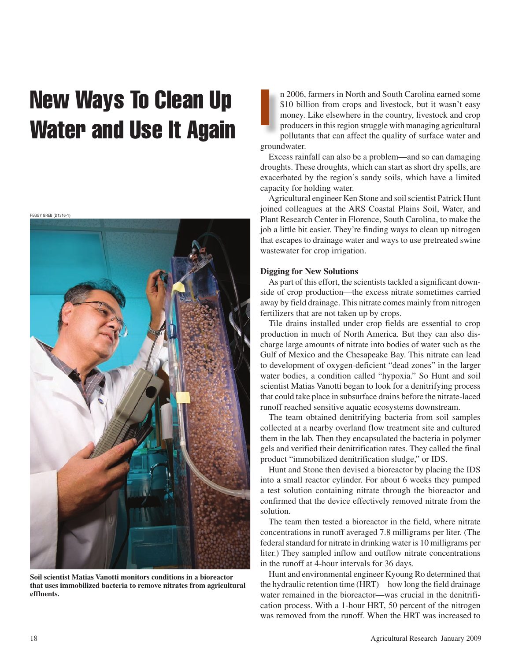## New Ways To Clean Up<br>Water and Use It Again



**Soil scientist Matias Vanotti monitors conditions in a bioreactor that uses immobilized bacteria to remove nitrates from agricultural effluents.** 

n 2006, farmers in North and South Carolina earned some \$10 billion from crops and livestock, but it wasn't easy money. Like elsewhere in the country, livestock and crop producers in this region struggle with managing agricultural pollutants that can affect the quality of surface water and groundwater.

Excess rainfall can also be a problem—and so can damaging droughts. These droughts, which can start as short dry spells, are exacerbated by the region's sandy soils, which have a limited capacity for holding water.

Agricultural engineer Ken Stone and soil scientist Patrick Hunt joined colleagues at the ARS Coastal Plains Soil, Water, and Plant Research Center in Florence, South Carolina, to make the job a little bit easier. They're finding ways to clean up nitrogen that escapes to drainage water and ways to use pretreated swine wastewater for crop irrigation.

## **Digging for New Solutions**

As part of this effort, the scientists tackled a significant downside of crop production—the excess nitrate sometimes carried away by field drainage. This nitrate comes mainly from nitrogen fertilizers that are not taken up by crops.

Tile drains installed under crop fields are essential to crop production in much of North America. But they can also discharge large amounts of nitrate into bodies of water such as the Gulf of Mexico and the Chesapeake Bay. This nitrate can lead to development of oxygen-deficient "dead zones" in the larger water bodies, a condition called "hypoxia." So Hunt and soil scientist Matias Vanotti began to look for a denitrifying process that could take place in subsurface drains before the nitrate-laced runoff reached sensitive aquatic ecosystems downstream.

The team obtained denitrifying bacteria from soil samples collected at a nearby overland flow treatment site and cultured them in the lab. Then they encapsulated the bacteria in polymer gels and verified their denitrification rates. They called the final product "immobilized denitrification sludge," or IDS.

Hunt and Stone then devised a bioreactor by placing the IDS into a small reactor cylinder. For about 6 weeks they pumped a test solution containing nitrate through the bioreactor and confirmed that the device effectively removed nitrate from the solution.

The team then tested a bioreactor in the field, where nitrate concentrations in runoff averaged 7.8 milligrams per liter. (The federal standard for nitrate in drinking water is 10 milligrams per liter.) They sampled inflow and outflow nitrate concentrations in the runoff at 4-hour intervals for 36 days.

Hunt and environmental engineer Kyoung Ro determined that the hydraulic retention time (HRT)—how long the field drainage water remained in the bioreactor—was crucial in the denitrification process. With a 1-hour HRT, 50 percent of the nitrogen was removed from the runoff. When the HRT was increased to